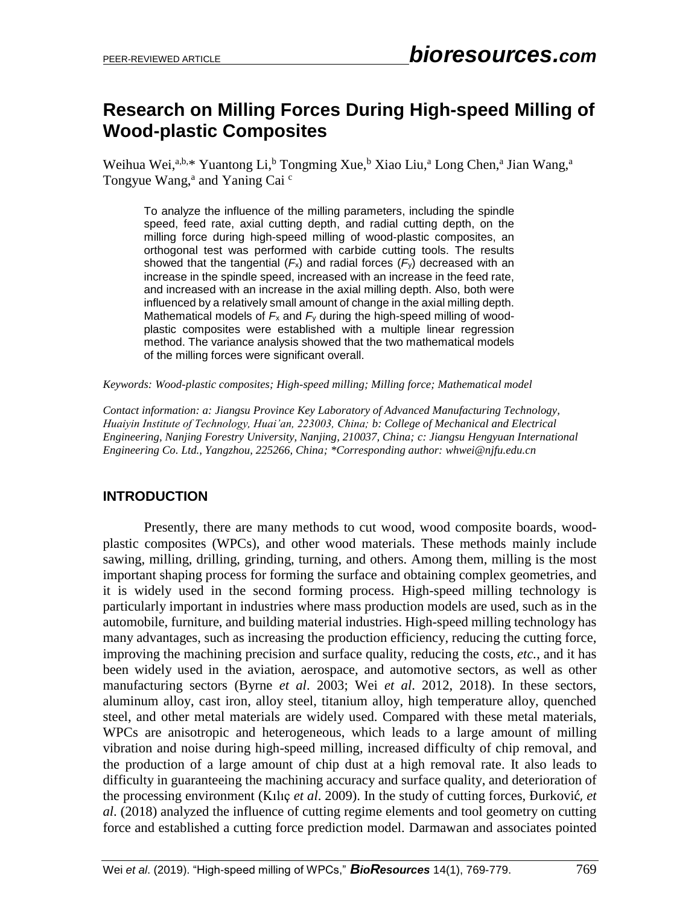# **Research on Milling Forces During High-speed Milling of Wood-plastic Composites**

Weihua Wei,<sup>a,b,\*</sup> Yuantong Li,<sup>b</sup> Tongming Xue,<sup>b</sup> Xiao Liu,<sup>a</sup> Long Chen,<sup>a</sup> Jian Wang,<sup>a</sup> Tongyue Wang,<sup>a</sup> and Yaning Cai<sup>c</sup>

To analyze the influence of the milling parameters, including the spindle speed, feed rate, axial cutting depth, and radial cutting depth, on the milling force during high-speed milling of wood-plastic composites, an orthogonal test was performed with carbide cutting tools. The results showed that the tangential  $(F_x)$  and radial forces  $(F_y)$  decreased with an increase in the spindle speed, increased with an increase in the feed rate, and increased with an increase in the axial milling depth. Also, both were influenced by a relatively small amount of change in the axial milling depth. Mathematical models of  $F_x$  and  $F_y$  during the high-speed milling of woodplastic composites were established with a multiple linear regression method. The variance analysis showed that the two mathematical models of the milling forces were significant overall.

*Keywords: Wood-plastic composites; High-speed milling; Milling force; Mathematical model*

*Contact information: a: Jiangsu Province Key Laboratory of Advanced Manufacturing Technology, Huaiyin Institute of Technology, Huai'an, 223003, China; b: College of Mechanical and Electrical Engineering, Nanjing Forestry University, Nanjing, 210037, China; c: Jiangsu Hengyuan International Engineering Co. Ltd., Yangzhou, 225266, China; \*Corresponding author: whwei@njfu.edu.cn*

## **INTRODUCTION**

Presently, there are many methods to cut wood, wood composite boards, woodplastic composites (WPCs), and other wood materials. These methods mainly include sawing, milling, drilling, grinding, turning, and others. Among them, milling is the most important shaping process for forming the surface and obtaining complex geometries, and it is widely used in the second forming process. High-speed milling technology is particularly important in industries where mass production models are used, such as in the automobile, furniture, and building material industries. High-speed milling technology has many advantages, such as increasing the production efficiency, reducing the cutting force, improving the machining precision and surface quality, reducing the costs, *etc.*, and it has been widely used in the aviation, aerospace, and automotive sectors, as well as other manufacturing sectors (Byrne *et al*. 2003; Wei *et al*. 2012, 2018). In these sectors, aluminum alloy, cast iron, alloy steel, titanium alloy, high temperature alloy, quenched steel, and other metal materials are widely used. Compared with these metal materials, WPCs are anisotropic and heterogeneous, which leads to a large amount of milling vibration and noise during high-speed milling, increased difficulty of chip removal, and the production of a large amount of chip dust at a high removal rate. It also leads to difficulty in guaranteeing the machining accuracy and surface quality, and deterioration of the processing environment (Kılıç *et al*. 2009). In the study of cutting forces, Đurković, *et al*. (2018) analyzed the influence of cutting regime elements and tool geometry on cutting force and established a cutting force prediction model. Darmawan and associates pointed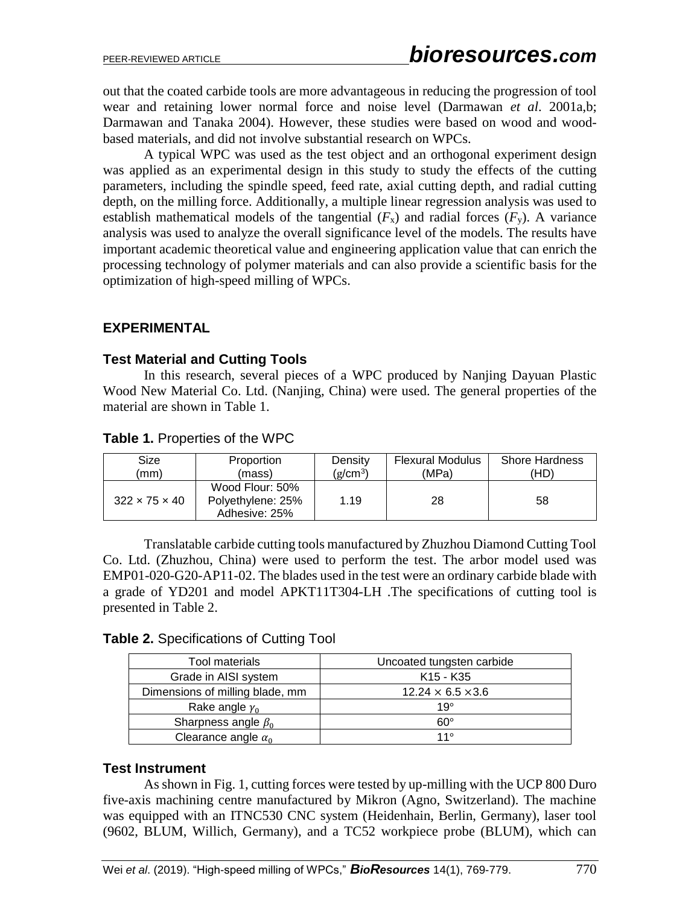out that the coated carbide tools are more advantageous in reducing the progression of tool wear and retaining lower normal force and noise level (Darmawan *et al*. 2001a,b; Darmawan and Tanaka 2004). However, these studies were based on wood and woodbased materials, and did not involve substantial research on WPCs.

A typical WPC was used as the test object and an orthogonal experiment design was applied as an experimental design in this study to study the effects of the cutting parameters, including the spindle speed, feed rate, axial cutting depth, and radial cutting depth, on the milling force. Additionally, a multiple linear regression analysis was used to establish mathematical models of the tangential  $(F_x)$  and radial forces  $(F_y)$ . A variance analysis was used to analyze the overall significance level of the models. The results have important academic theoretical value and engineering application value that can enrich the processing technology of polymer materials and can also provide a scientific basis for the optimization of high-speed milling of WPCs.

## **EXPERIMENTAL**

#### **Test Material and Cutting Tools**

In this research, several pieces of a WPC produced by Nanjing Dayuan Plastic Wood New Material Co. Ltd. (Nanjing, China) were used. The general properties of the material are shown in Table 1.

#### **Table 1.** Properties of the WPC

| Size                      | Proportion        | Density              | <b>Flexural Modulus</b> | <b>Shore Hardness</b> |
|---------------------------|-------------------|----------------------|-------------------------|-----------------------|
| (mm)                      | (mass)            | (g/cm <sup>3</sup> ) | (MPa)                   | 'HD)                  |
|                           | Wood Flour: 50%   |                      |                         |                       |
| $322 \times 75 \times 40$ | Polyethylene: 25% | 1.19                 | 28                      | 58                    |
|                           | Adhesive: 25%     |                      |                         |                       |

Translatable carbide cutting tools manufactured by Zhuzhou Diamond Cutting Tool Co. Ltd. (Zhuzhou, China) were used to perform the test. The arbor model used was EMP01-020-G20-AP11-02. The blades used in the test were an ordinary carbide blade with a grade of YD201 and model APKT11T304-LH .The specifications of cutting tool is presented in Table 2.

#### **Table 2.** Specifications of Cutting Tool

| Tool materials                  | Uncoated tungsten carbide         |
|---------------------------------|-----------------------------------|
| Grade in AISI system            | K <sub>15</sub> - K <sub>35</sub> |
| Dimensions of milling blade, mm | $12.24 \times 6.5 \times 3.6$     |
| Rake angle $y_0$                | $19^\circ$                        |
| Sharpness angle $\beta_0$       | $60^\circ$                        |
| Clearance angle $\alpha_0$      | 11°                               |

## **Test Instrument**

As shown in Fig. 1, cutting forces were tested by up-milling with the UCP 800 Duro five-axis machining centre manufactured by Mikron (Agno, Switzerland). The machine was equipped with an ITNC530 CNC system (Heidenhain, Berlin, Germany), laser tool (9602, BLUM, Willich, Germany), and a TC52 workpiece probe (BLUM), which can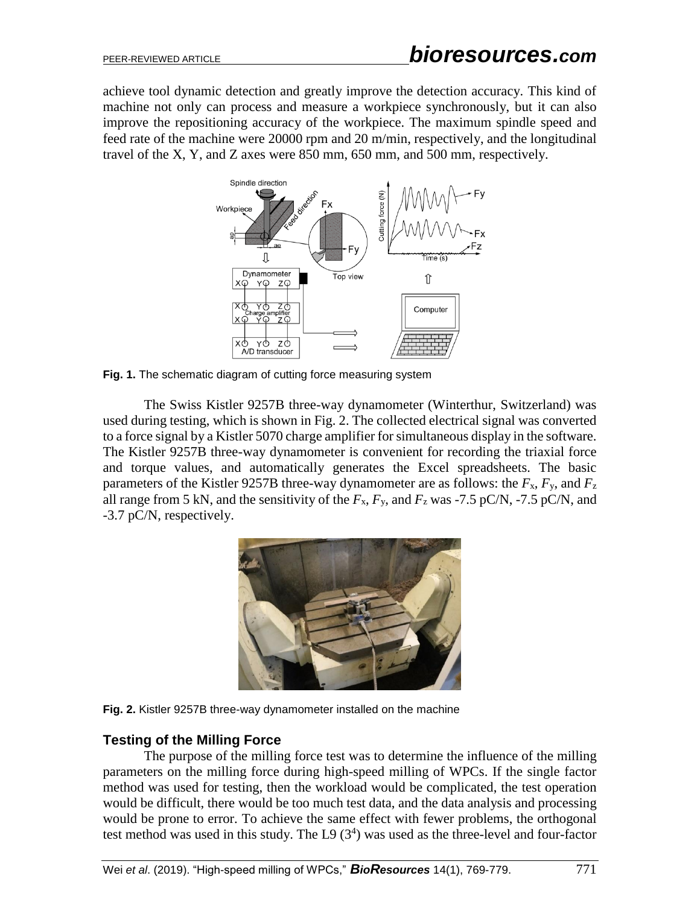achieve tool dynamic detection and greatly improve the detection accuracy. This kind of machine not only can process and measure a workpiece synchronously, but it can also improve the repositioning accuracy of the workpiece. The maximum spindle speed and feed rate of the machine were 20000 rpm and 20 m/min, respectively, and the longitudinal travel of the X, Y, and Z axes were 850 mm, 650 mm, and 500 mm, respectively.



**Fig. 1.** The schematic diagram of cutting force measuring system

The Swiss Kistler 9257B three-way dynamometer (Winterthur, Switzerland) was used during testing, which is shown in Fig. 2. The collected electrical signal was converted to a force signal by a Kistler 5070 charge amplifier for simultaneous display in the software. The Kistler 9257B three-way dynamometer is convenient for recording the triaxial force and torque values, and automatically generates the Excel spreadsheets. The basic parameters of the Kistler 9257B three-way dynamometer are as follows: the *F*x, *F*y, and *F*<sup>z</sup> all range from 5 kN, and the sensitivity of the  $F_x$ ,  $F_y$ , and  $F_z$  was -7.5 pC/N, -7.5 pC/N, and -3.7 pC/N, respectively.





## **Testing of the Milling Force**

The purpose of the milling force test was to determine the influence of the milling parameters on the milling force during high-speed milling of WPCs. If the single factor method was used for testing, then the workload would be complicated, the test operation would be difficult, there would be too much test data, and the data analysis and processing would be prone to error. To achieve the same effect with fewer problems, the orthogonal test method was used in this study. The L9  $(3<sup>4</sup>)$  was used as the three-level and four-factor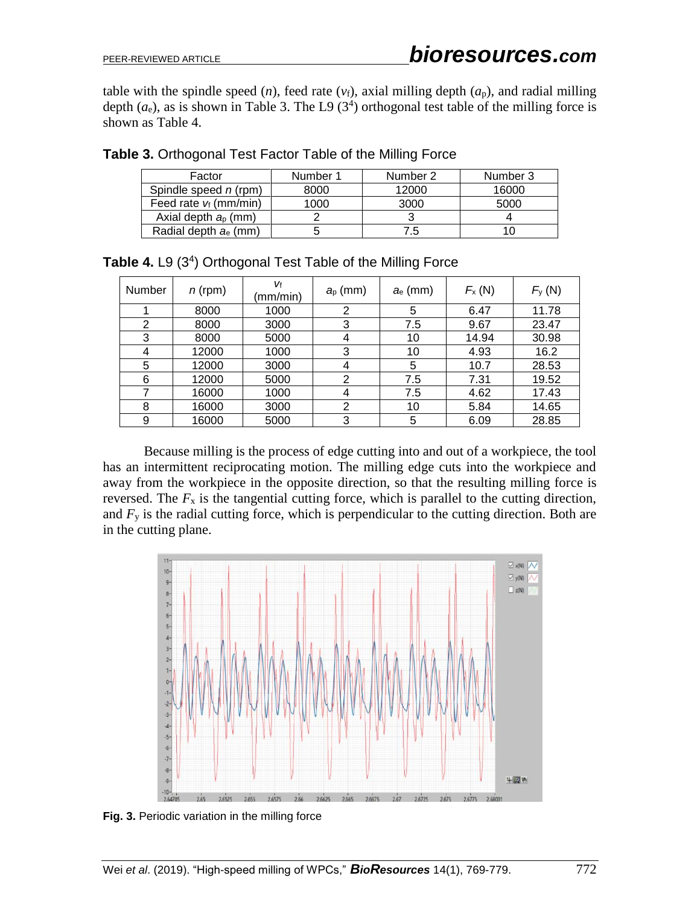table with the spindle speed  $(n)$ , feed rate  $(v_f)$ , axial milling depth  $(a_p)$ , and radial milling depth  $(a_e)$ , as is shown in Table 3. The L9  $(3^4)$  orthogonal test table of the milling force is shown as Table 4.

| Factor                   | Number 1 | Number 2 | Number 3 |
|--------------------------|----------|----------|----------|
| Spindle speed n (rpm)    | 8000     | 12000    | 16000    |
| Feed rate $v_f$ (mm/min) | 1000     | 3000     | 5000     |
| Axial depth $ap$ (mm)    |          |          |          |
| Radial depth $a_e$ (mm)  |          | 7.5      |          |

**Table 3.** Orthogonal Test Factor Table of the Milling Force

| <b>Number</b> | $n$ (rpm) | Vf<br>(mm/min) | $a_{p}$ (mm)   | $a_e$ (mm) | $F_{\rm X}$ (N) | $F_y(N)$ |
|---------------|-----------|----------------|----------------|------------|-----------------|----------|
|               | 8000      | 1000           | 2              | 5          | 6.47            | 11.78    |
| 2             | 8000      | 3000           | 3              | 7.5        | 9.67            | 23.47    |
| 3             | 8000      | 5000           | 4              | 10         | 14.94           | 30.98    |
| 4             | 12000     | 1000           | 3              | 10         | 4.93            | 16.2     |
| 5             | 12000     | 3000           | 4              | 5          | 10.7            | 28.53    |
| 6             | 12000     | 5000           | $\overline{2}$ | 7.5        | 7.31            | 19.52    |
| 7             | 16000     | 1000           | 4              | 7.5        | 4.62            | 17.43    |
| 8             | 16000     | 3000           | 2              | 10         | 5.84            | 14.65    |
| 9             | 16000     | 5000           | 3              | 5          | 6.09            | 28.85    |

Table 4. L9 (3<sup>4</sup>) Orthogonal Test Table of the Milling Force

Because milling is the process of edge cutting into and out of a workpiece, the tool has an intermittent reciprocating motion. The milling edge cuts into the workpiece and away from the workpiece in the opposite direction, so that the resulting milling force is reversed. The  $F_x$  is the tangential cutting force, which is parallel to the cutting direction, and  $F<sub>y</sub>$  is the radial cutting force, which is perpendicular to the cutting direction. Both are in the cutting plane.



**Fig. 3.** Periodic variation in the milling force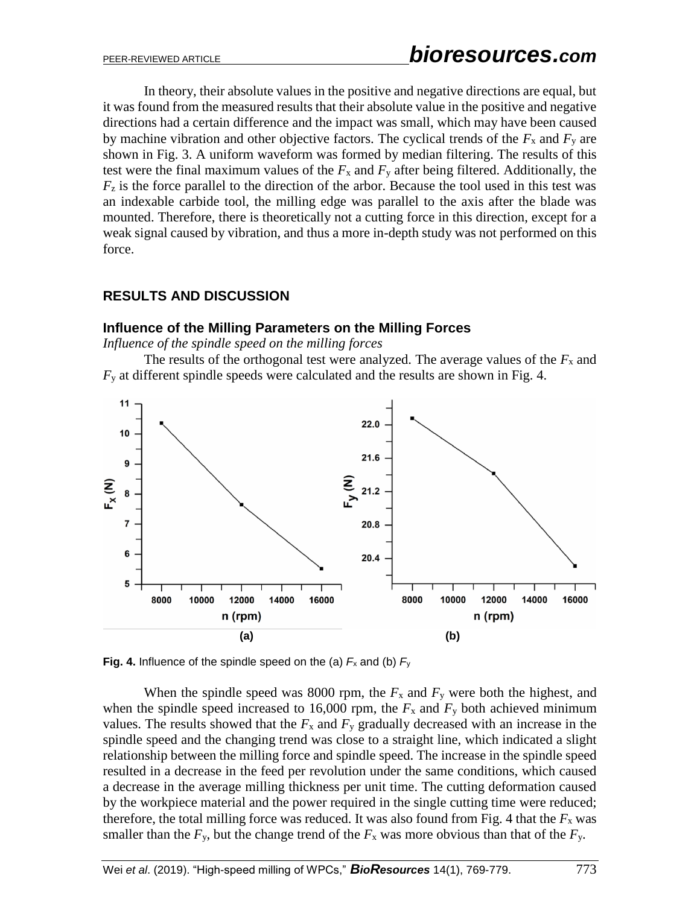In theory, their absolute values in the positive and negative directions are equal, but it was found from the measured results that their absolute value in the positive and negative directions had a certain difference and the impact was small, which may have been caused by machine vibration and other objective factors. The cyclical trends of the  $F_x$  and  $F_y$  are shown in Fig. 3. A uniform waveform was formed by median filtering. The results of this test were the final maximum values of the  $F_x$  and  $F_y$  after being filtered. Additionally, the  $F<sub>z</sub>$  is the force parallel to the direction of the arbor. Because the tool used in this test was an indexable carbide tool, the milling edge was parallel to the axis after the blade was mounted. Therefore, there is theoretically not a cutting force in this direction, except for a weak signal caused by vibration, and thus a more in-depth study was not performed on this force.

# **RESULTS AND DISCUSSION**

## **Influence of the Milling Parameters on the Milling Forces**

*Influence of the spindle speed on the milling forces*

The results of the orthogonal test were analyzed. The average values of the  $F_x$  and *F*<sup>y</sup> at different spindle speeds were calculated and the results are shown in Fig. 4.





When the spindle speed was 8000 rpm, the  $F_x$  and  $F_y$  were both the highest, and when the spindle speed increased to 16,000 rpm, the  $F_x$  and  $F_y$  both achieved minimum values. The results showed that the  $F_x$  and  $F_y$  gradually decreased with an increase in the spindle speed and the changing trend was close to a straight line, which indicated a slight relationship between the milling force and spindle speed. The increase in the spindle speed resulted in a decrease in the feed per revolution under the same conditions, which caused a decrease in the average milling thickness per unit time. The cutting deformation caused by the workpiece material and the power required in the single cutting time were reduced; therefore, the total milling force was reduced. It was also found from Fig. 4 that the  $F_x$  was smaller than the  $F_y$ , but the change trend of the  $F_x$  was more obvious than that of the  $F_y$ .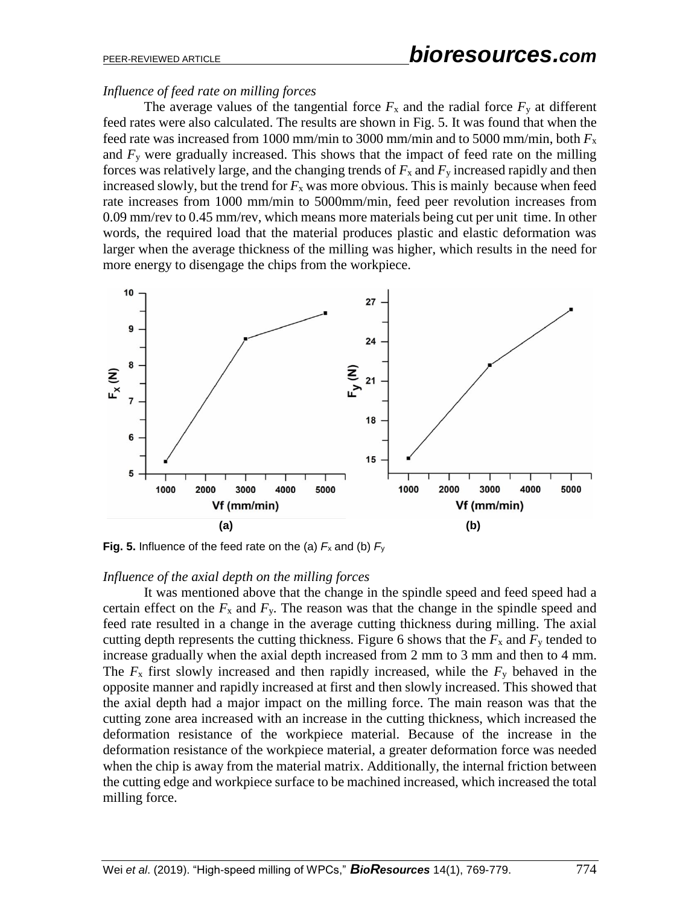#### *Influence of feed rate on milling forces*

The average values of the tangential force  $F_x$  and the radial force  $F_y$  at different feed rates were also calculated. The results are shown in Fig. 5. It was found that when the feed rate was increased from 1000 mm/min to 3000 mm/min and to 5000 mm/min, both *F*<sup>x</sup> and  $F<sub>y</sub>$  were gradually increased. This shows that the impact of feed rate on the milling forces was relatively large, and the changing trends of  $F_x$  and  $F_y$  increased rapidly and then increased slowly, but the trend for  $F_x$  was more obvious. This is mainly because when feed rate increases from 1000 mm/min to 5000mm/min, feed peer revolution increases from 0.09 mm/rev to 0.45 mm/rev, which means more materials being cut per unit time. In other words, the required load that the material produces plastic and elastic deformation was larger when the average thickness of the milling was higher, which results in the need for more energy to disengage the chips from the workpiece.



**Fig. 5.** Influence of the feed rate on the (a)  $F_x$  and (b)  $F_y$ 

#### *Influence of the axial depth on the milling forces*

It was mentioned above that the change in the spindle speed and feed speed had a certain effect on the  $F_x$  and  $F_y$ . The reason was that the change in the spindle speed and feed rate resulted in a change in the average cutting thickness during milling. The axial cutting depth represents the cutting thickness. Figure 6 shows that the  $F_x$  and  $F_y$  tended to increase gradually when the axial depth increased from 2 mm to 3 mm and then to 4 mm. The  $F_x$  first slowly increased and then rapidly increased, while the  $F_y$  behaved in the opposite manner and rapidly increased at first and then slowly increased. This showed that the axial depth had a major impact on the milling force. The main reason was that the cutting zone area increased with an increase in the cutting thickness, which increased the deformation resistance of the workpiece material. Because of the increase in the deformation resistance of the workpiece material, a greater deformation force was needed when the chip is away from the material matrix. Additionally, the internal friction between the cutting edge and workpiece surface to be machined increased, which increased the total milling force.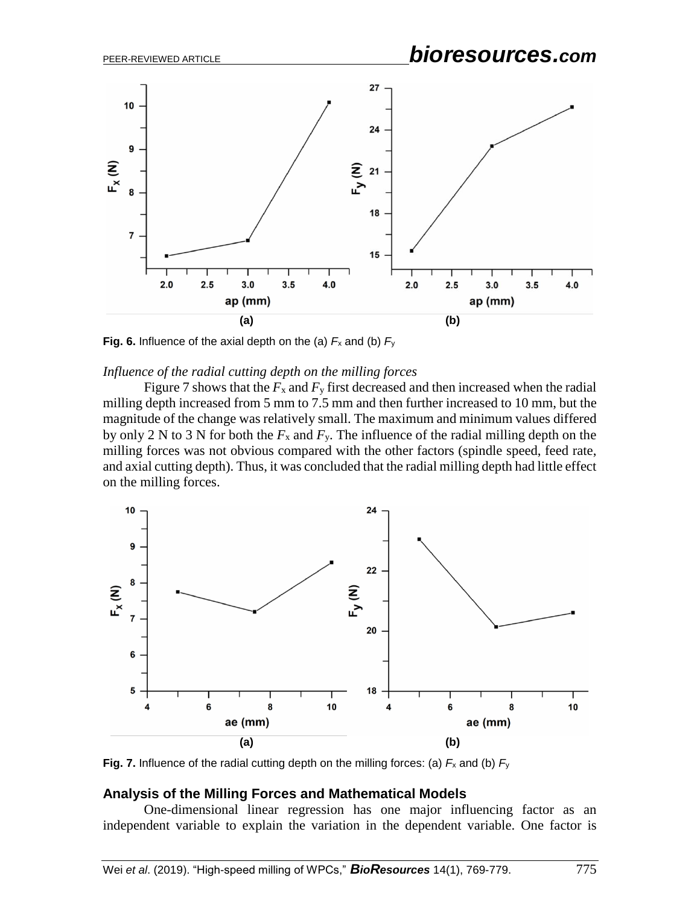# PEER-REVIEWED ARTICLE *bioresources.com*



**Fig. 6.** Influence of the axial depth on the (a)  $F_x$  and (b)  $F_y$ 

#### *Influence of the radial cutting depth on the milling forces*

Figure 7 shows that the  $F_x$  and  $F_y$  first decreased and then increased when the radial milling depth increased from 5 mm to 7.5 mm and then further increased to 10 mm, but the magnitude of the change was relatively small. The maximum and minimum values differed by only 2 N to 3 N for both the  $F_x$  and  $F_y$ . The influence of the radial milling depth on the milling forces was not obvious compared with the other factors (spindle speed, feed rate, and axial cutting depth). Thus, it was concluded that the radial milling depth had little effect on the milling forces.



**Fig. 7.** Influence of the radial cutting depth on the milling forces: (a)  $F_x$  and (b)  $F_y$ 

#### **Analysis of the Milling Forces and Mathematical Models**

One-dimensional linear regression has one major influencing factor as an independent variable to explain the variation in the dependent variable. One factor is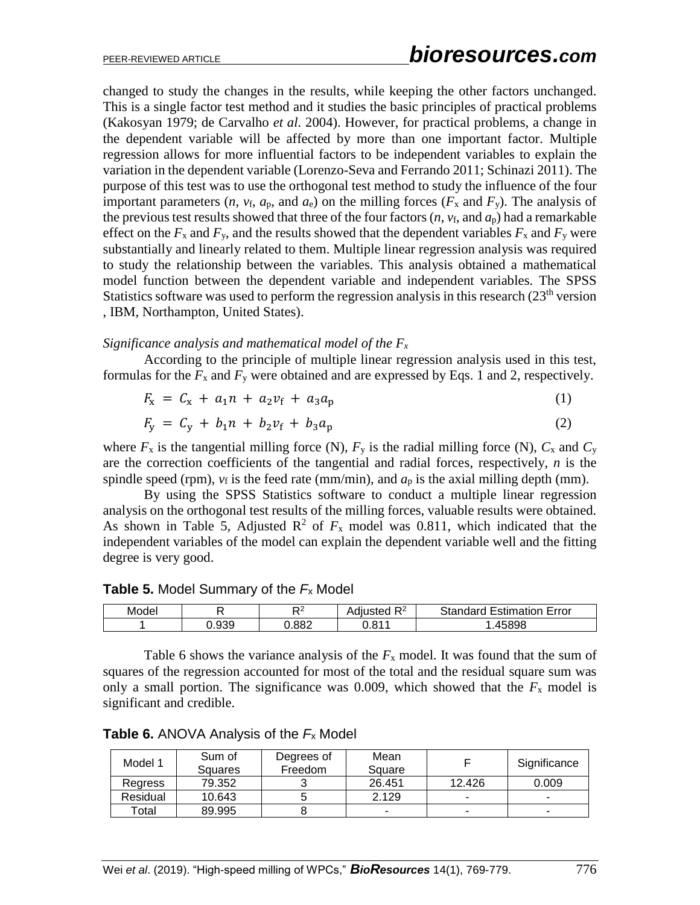changed to study the changes in the results, while keeping the other factors unchanged. This is a single factor test method and it studies the basic principles of practical problems (Kakosyan 1979; de Carvalho *et al*. 2004). However, for practical problems, a change in the dependent variable will be affected by more than one important factor. Multiple regression allows for more influential factors to be independent variables to explain the variation in the dependent variable (Lorenzo-Seva and Ferrando 2011; Schinazi 2011). The purpose of this test was to use the orthogonal test method to study the influence of the four important parameters  $(n, v_f, a_p,$  and  $a_e)$  on the milling forces  $(F_x$  and  $F_y)$ . The analysis of the previous test results showed that three of the four factors  $(n, v_f, n \, d_p)$  had a remarkable effect on the  $F_x$  and  $F_y$ , and the results showed that the dependent variables  $F_x$  and  $F_y$  were substantially and linearly related to them. Multiple linear regression analysis was required to study the relationship between the variables. This analysis obtained a mathematical model function between the dependent variable and independent variables. The SPSS Statistics software was used to perform the regression analysis in this research  $(23<sup>th</sup>$  version , IBM, Northampton, United States).

#### *Significance analysis and mathematical model of the F<sup>x</sup>*

According to the principle of multiple linear regression analysis used in this test, formulas for the  $F_x$  and  $F_y$  were obtained and are expressed by Eqs. 1 and 2, respectively.

$$
F_{x} = C_{x} + a_{1}n + a_{2}v_{f} + a_{3}a_{p}
$$
 (1)

$$
F_y = C_y + b_1 n + b_2 v_f + b_3 a_p \tag{2}
$$

where  $F_x$  is the tangential milling force (N),  $F_y$  is the radial milling force (N),  $C_x$  and  $C_y$ are the correction coefficients of the tangential and radial forces, respectively, *n* is the spindle speed (rpm),  $v_f$  is the feed rate (mm/min), and  $a_p$  is the axial milling depth (mm).

By using the SPSS Statistics software to conduct a multiple linear regression analysis on the orthogonal test results of the milling forces, valuable results were obtained. As shown in Table 5, Adjusted  $\mathbb{R}^2$  of  $F_x$  model was 0.811, which indicated that the independent variables of the model can explain the dependent variable well and the fitting degree is very good.

**Table 5.** Model Summary of the *F*<sup>x</sup> Model

| Model |       |       | n^<br>. .<br>'usted.<br>◡▵<br>Aul | Standard<br><b>Estimation Error</b> |
|-------|-------|-------|-----------------------------------|-------------------------------------|
|       | J.939 | 0.882 | 0.811                             | 45898                               |

Table 6 shows the variance analysis of the  $F_x$  model. It was found that the sum of squares of the regression accounted for most of the total and the residual square sum was only a small portion. The significance was 0.009, which showed that the  $F_x$  model is significant and credible.

| Model 1  | Sum of<br>Squares | Degrees of<br>Freedom | Mean<br>Square |        | Significance |
|----------|-------------------|-----------------------|----------------|--------|--------------|
| Regress  | 79.352            | ີ                     | 26.451         | 12.426 | 0.009        |
| Residual | 10.643            |                       | 2.129          |        | -            |
| Total    | 89.995            |                       |                |        | -            |

**Table 6.** ANOVA Analysis of the *F*<sup>x</sup> Model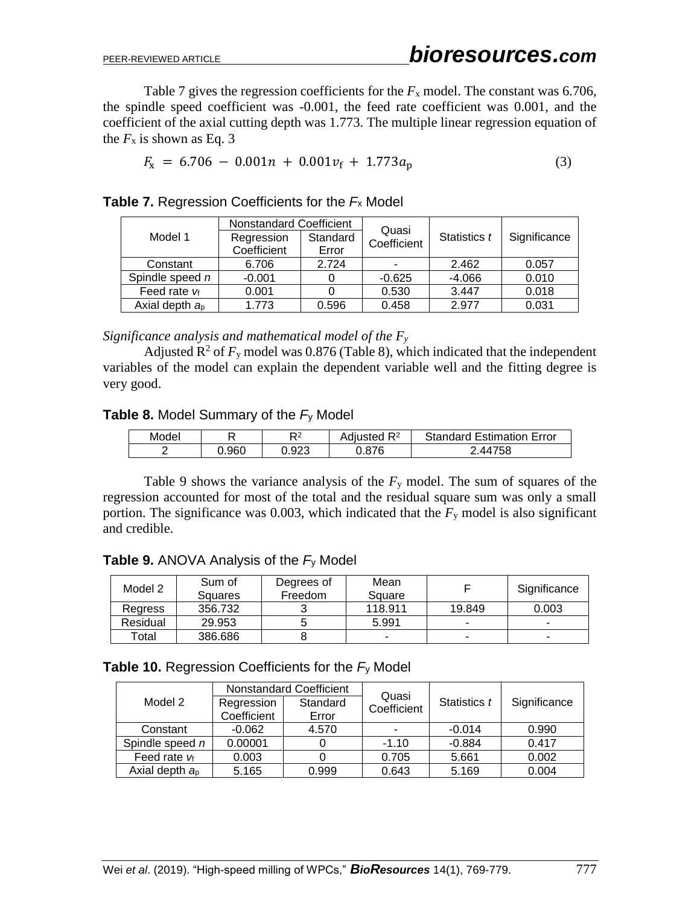Table 7 gives the regression coefficients for the  $F_x$  model. The constant was 6.706, the spindle speed coefficient was -0.001, the feed rate coefficient was 0.001, and the coefficient of the axial cutting depth was 1.773. The multiple linear regression equation of the  $F_x$  is shown as Eq. 3

$$
F_{\rm x} = 6.706 - 0.001n + 0.001v_{\rm f} + 1.773a_{\rm p} \tag{3}
$$

|                     | Nonstandard Coefficient               |              | Quasi        |          |       |  |
|---------------------|---------------------------------------|--------------|--------------|----------|-------|--|
| Model 1             | Standard<br>Regression<br>Coefficient | Statistics t | Significance |          |       |  |
|                     | Coefficient                           | Error        |              |          |       |  |
| Constant            | 6.706                                 | 2.724        | ۰            | 2.462    | 0.057 |  |
| Spindle speed n     | $-0.001$                              |              | $-0.625$     | $-4.066$ | 0.010 |  |
| Feed rate $v_f$     | 0.001                                 |              | 0.530        | 3.447    | 0.018 |  |
| Axial depth $a_{p}$ | 1.773                                 | 0.596        | 0.458        | 2.977    | 0.031 |  |

**Table 7.** Regression Coefficients for the *F*<sup>x</sup> Model

*Significance analysis and mathematical model of the F<sup>y</sup>*

Adjusted  $\mathbb{R}^2$  of  $F_y$  model was 0.876 (Table 8), which indicated that the independent variables of the model can explain the dependent variable well and the fitting degree is very good.

## **Table 8.** Model Summary of the *F*<sup>y</sup> Model

| Model |       | מח    | 1 R <sup>2</sup><br>Adiusted | <b>Standard Estimation Error</b> |
|-------|-------|-------|------------------------------|----------------------------------|
|       | J.960 | 0.923 | .876 ر                       | 1758<br>AA.                      |

Table 9 shows the variance analysis of the  $F<sub>y</sub>$  model. The sum of squares of the regression accounted for most of the total and the residual square sum was only a small portion. The significance was 0.003, which indicated that the *F*<sup>y</sup> model is also significant and credible.

|  | <b>Table 9.</b> ANOVA Analysis of the $F_y$ Model |
|--|---------------------------------------------------|
|--|---------------------------------------------------|

| Model 2  | Sum of<br>Squares | Degrees of<br>Freedom | Mean<br>Square |        | Significance |
|----------|-------------------|-----------------------|----------------|--------|--------------|
| Regress  | 356.732           |                       | 118.911        | 19.849 | 0.003        |
| Residual | 29.953            |                       | 5.991          |        |              |
| Total    | 386.686           |                       |                | -      |              |

| <b>Table 10.</b> Regression Coefficients for the $F_y$ Model |  |  |
|--------------------------------------------------------------|--|--|
|--------------------------------------------------------------|--|--|

|                  | Nonstandard Coefficient   |                   |                      |              |              |  |
|------------------|---------------------------|-------------------|----------------------|--------------|--------------|--|
| Model 2          | Regression<br>Coefficient | Standard<br>Error | Quasi<br>Coefficient | Statistics t | Significance |  |
| Constant         | $-0.062$                  | 4.570             |                      | $-0.014$     | 0.990        |  |
| Spindle speed n  | 0.00001                   |                   | $-1.10$              | $-0.884$     | 0.417        |  |
| Feed rate $v_f$  | 0.003                     |                   | 0.705                | 5.661        | 0.002        |  |
| Axial depth $ap$ | 5.165                     | 0.999             | 0.643                | 5.169        | 0.004        |  |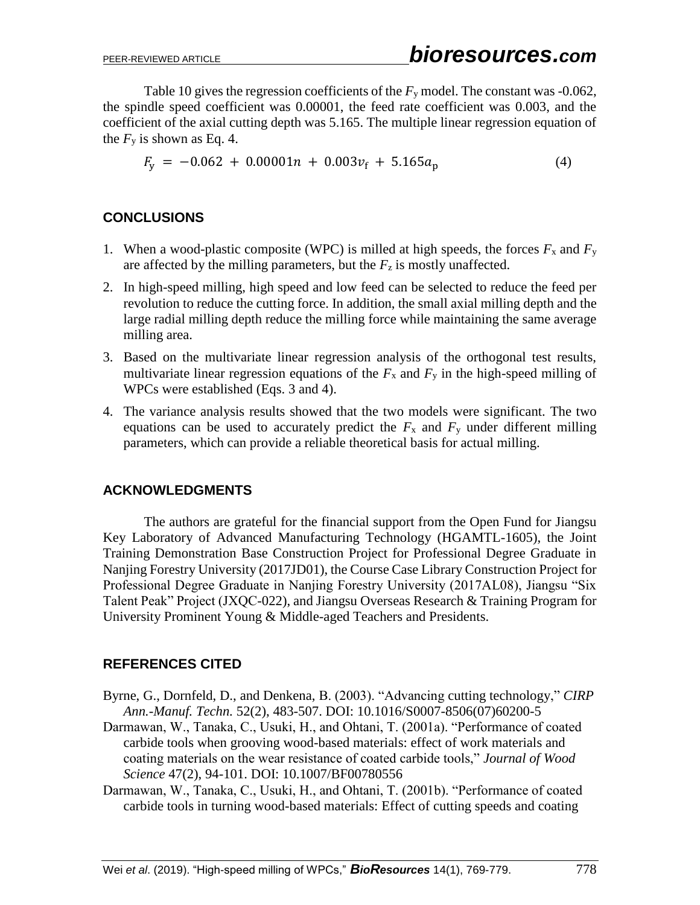Table 10 gives the regression coefficients of the *F*<sup>y</sup> model. The constant was -0.062, the spindle speed coefficient was 0.00001, the feed rate coefficient was 0.003, and the coefficient of the axial cutting depth was 5.165. The multiple linear regression equation of the  $F<sub>y</sub>$  is shown as Eq. 4.

$$
F_y = -0.062 + 0.00001n + 0.003v_f + 5.165a_p \tag{4}
$$

## **CONCLUSIONS**

- 1. When a wood-plastic composite (WPC) is milled at high speeds, the forces  $F_x$  and  $F_y$ are affected by the milling parameters, but the  $F<sub>z</sub>$  is mostly unaffected.
- 2. In high-speed milling, high speed and low feed can be selected to reduce the feed per revolution to reduce the cutting force. In addition, the small axial milling depth and the large radial milling depth reduce the milling force while maintaining the same average milling area.
- 3. Based on the multivariate linear regression analysis of the orthogonal test results, multivariate linear regression equations of the  $F_x$  and  $F_y$  in the high-speed milling of WPCs were established (Eqs. 3 and 4).
- 4. The variance analysis results showed that the two models were significant. The two equations can be used to accurately predict the  $F_x$  and  $F_y$  under different milling parameters, which can provide a reliable theoretical basis for actual milling.

## **ACKNOWLEDGMENTS**

The authors are grateful for the financial support from the Open Fund for Jiangsu Key Laboratory of Advanced Manufacturing Technology (HGAMTL-1605), the Joint Training Demonstration Base Construction Project for Professional Degree Graduate in Nanjing Forestry University (2017JD01), the Course Case Library Construction Project for Professional Degree Graduate in Nanjing Forestry University (2017AL08), Jiangsu "Six Talent Peak" Project (JXQC-022), and Jiangsu Overseas Research & Training Program for University Prominent Young & Middle-aged Teachers and Presidents.

## **REFERENCES CITED**

- Byrne, G., Dornfeld, D., and Denkena, B. (2003). "Advancing cutting technology," *CIRP Ann.-Manuf. Techn.* 52(2), 483-507. DOI: 10.1016/S0007-8506(07)60200-5
- Darmawan, W., Tanaka, C., Usuki, H., and Ohtani, T. (2001a). "Performance of coated carbide tools when grooving wood-based materials: effect of work materials and coating materials on the wear resistance of coated carbide tools," *Journal of Wood Science* 47(2), 94-101. DOI: 10.1007/BF00780556
- Darmawan, W., Tanaka, C., Usuki, H., and Ohtani, T. (2001b). "Performance of coated carbide tools in turning wood-based materials: Effect of cutting speeds and coating